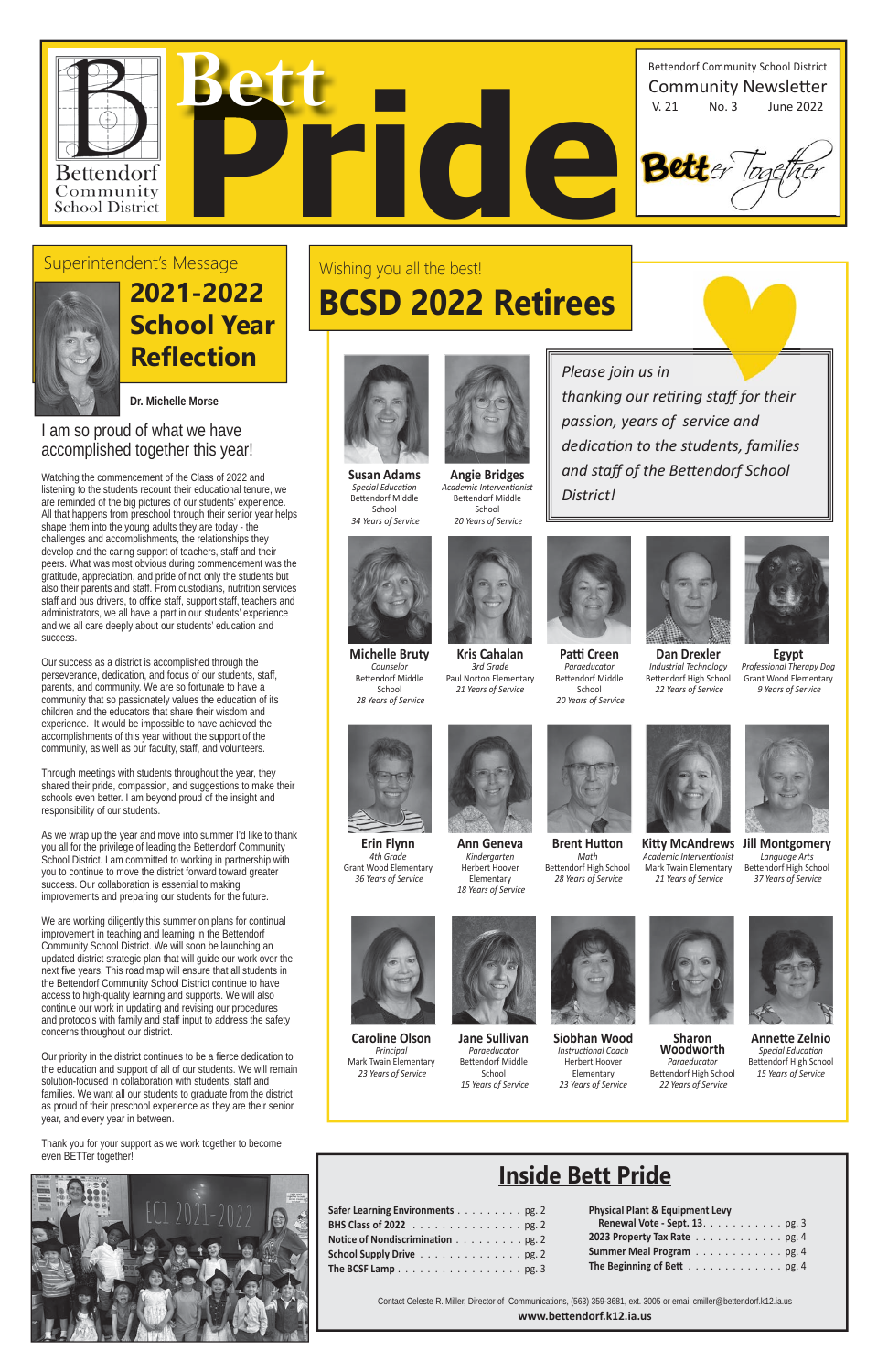

| Safer Learning Environments pg. 2                                 |  |  |  |  |  |
|-------------------------------------------------------------------|--|--|--|--|--|
|                                                                   |  |  |  |  |  |
| Notice of Nondiscrimination pg. 2                                 |  |  |  |  |  |
| School Supply Drive pg. 2                                         |  |  |  |  |  |
| The BCSF Lamp $\ldots \ldots \ldots \ldots \ldots \ldots$ . pg. 3 |  |  |  |  |  |

| <b>Physical Plant &amp; Equipment Levy</b> |  |  |  |  |  |  |  |  |  |  |  |  |  |
|--------------------------------------------|--|--|--|--|--|--|--|--|--|--|--|--|--|
| Renewal Vote - Sept. 13. pg. 3             |  |  |  |  |  |  |  |  |  |  |  |  |  |
| 2023 Property Tax Rate pg. 4               |  |  |  |  |  |  |  |  |  |  |  |  |  |
| Summer Meal Program pg. 4                  |  |  |  |  |  |  |  |  |  |  |  |  |  |
| The Beginning of Bett pg. 4                |  |  |  |  |  |  |  |  |  |  |  |  |  |

## **Inside Bett Pride**

Contact Celeste R. Miller, Director of Communications, (563) 359-3681, ext. 3005 or email cmiller@bettendorf.k12.ia.us **www.beƩ endorf.k12.ia.us**



#### I am so proud of what we have accomplished together this year!

Watching the commencement of the Class of 2022 and listening to the students recount their educational tenure, we are reminded of the big pictures of our students' experience. All that happens from preschool through their senior year helps shape them into the young adults they are today - the challenges and accomplishments, the relationships they develop and the caring support of teachers, staff and their peers. What was most obvious during commencement was the gratitude, appreciation, and pride of not only the students but also their parents and staff. From custodians, nutrition services staff and bus drivers, to office staff, support staff, teachers and administrators, we all have a part in our students' experience and we all care deeply about our students' education and success.

Our priority in the district continues to be a fierce dedication to the education and support of all of our students. We will remain solution-focused in collaboration with students, staff and families. We want all our students to graduate from the district as proud of their preschool experience as they are their senior year, and every year in between.

**2021-2022 School Year Reflection Please join us in** 

Our success as a district is accomplished through the perseverance, dedication, and focus of our students, staff, parents, and community. We are so fortunate to have a community that so passionately values the education of its children and the educators that share their wisdom and experience. It would be impossible to have achieved the accomplishments of this year without the support of the community, as well as our faculty, staff, and volunteers.

**Patti Creen** *Paraeducator* Bettendorf Middle School  *20 Years of Service*



Through meetings with students throughout the year, they shared their pride, compassion, and suggestions to make their schools even better. I am beyond proud of the insight and responsibility of our students.

> **Brent Hutton** *Math* Bettendorf High School  *28 Years of Service*



As we wrap up the year and move into summer I'd like to thank you all for the privilege of leading the Bettendorf Community School District. I am committed to working in partnership with you to continue to move the district forward toward greater success. Our collaboration is essential to making improvements and preparing our students for the future.

> Bettendorf Middle School  *15 Years of Service*



We are working diligently this summer on plans for continual improvement in teaching and learning in the Bettendorf Community School District. We will soon be launching an updated district strategic plan that will guide our work over the next five years. This road map will ensure that all students in the Bettendorf Community School District continue to have access to high-quality learning and supports. We will also continue our work in updating and revising our procedures and protocols with family and staff input to address the safety concerns throughout our district.

Thank you for your support as we work together to become even BETTer together!





#### Superintendent's Message



*thanking our reƟ ring staff for their* 

*passion, years of service and* 

*dedicaƟ on to the students, families* 

*and staff of the BeƩ endorf School* 

*District!* 

## Wishing you all the best!

## **BCSD 2022 Retirees**



**Susan Adams Special Education** Bettendorf Middle School  *34 Years of Service*



**Angie Bridges** *Academic IntervenƟ onist* Bettendorf Middle School  *20 Years of Service*



**Michelle Bruty** *Counselor* Bettendorf Middle School  *28 Years of Service*

**Kris Cahalan** *3rd Grade* 





**Dan Drexler** *Industrial Technology* Bettendorf High School  *22 Years of Service*



*Professional Therapy Dog* Grant Wood Elementary  *9 Years of Service*



**Erin Flynn** *4th Grade* Grant Wood Elementary  *36 Years of Service*



**Ann Geneva** *Kindergarten* Herbert Hoover Elementary  *18 Years of Service*



 *21 Years of Service*





**Caroline Olson** *Principal*

 *23 Years of Service*

Mark Twain Elementary **Jane Sullivan** *Paraeducator*

**Siobhan Wood** *InstrucƟ onal Coach* Herbert Hoover Elementary *23 Years of Service*





**Sharon Woodworth** *Paraeducator* Bettendorf High School  *22 Years of Service*

**AnneƩ e Zelnio Special Education** Bettendorf High School *15 Years of Service*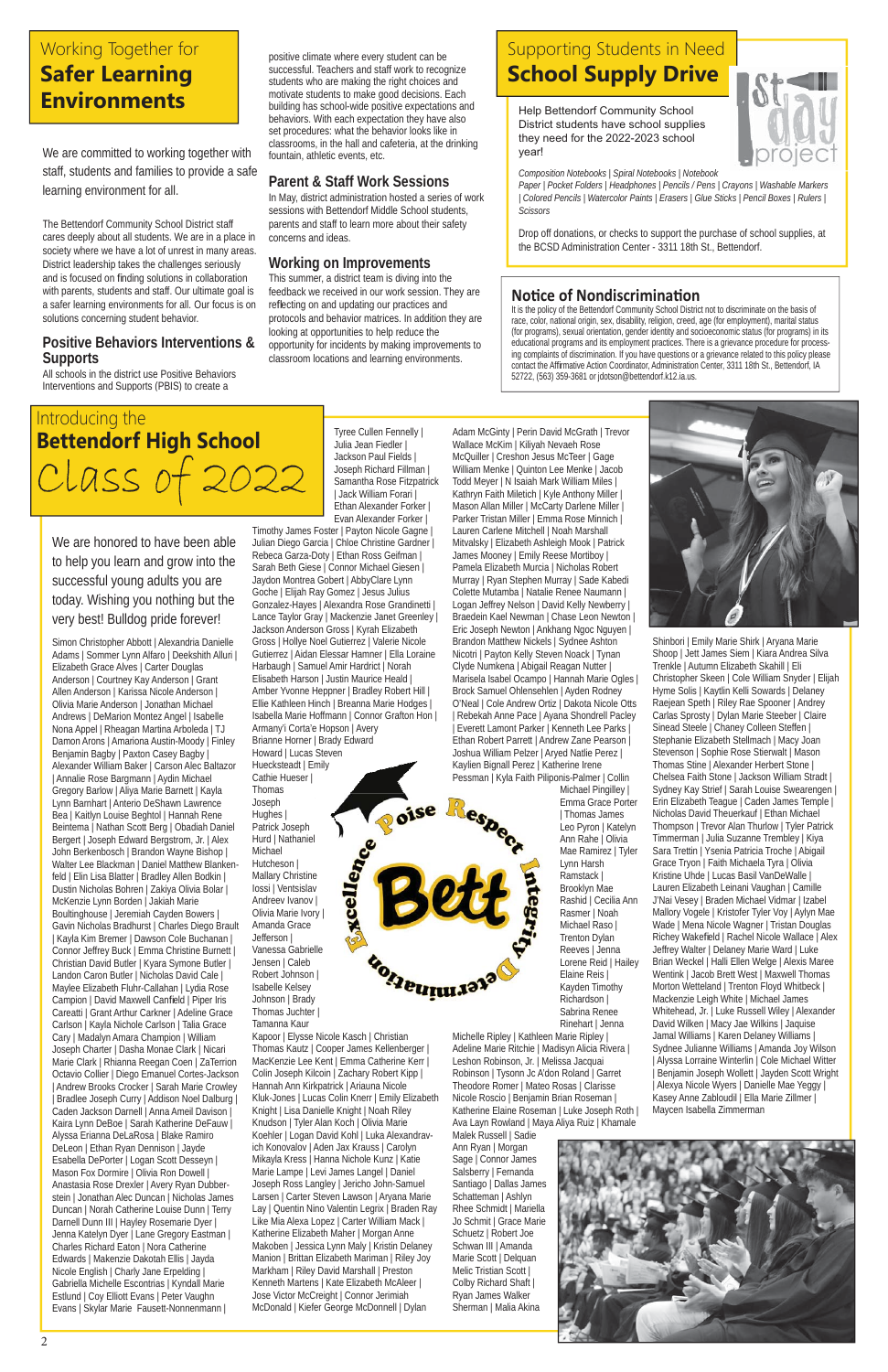We are honored to have been able to help you learn and grow into the successful young adults you are today. Wishing you nothing but the very best! Bulldog pride forever!

Simon Christopher Abbott | Alexandria Danielle Adams | Sommer Lynn Alfaro | Deekshith Alluri | Elizabeth Grace Alves | Carter Douglas Anderson | Courtney Kay Anderson | Grant Allen Anderson | Karissa Nicole Anderson | Olivia Marie Anderson | Jonathan Michael Andrews | DeMarion Montez Angel | Isabelle Nona Appel | Rheagan Martina Arboleda | TJ Damon Arons | Amariona Austin-Moody | Finley Benjamin Bagby | Paxton Casey Bagby | Alexander William Baker | Carson Alec Baltazor | Annalie Rose Bargmann | Aydin Michael Gregory Barlow | Aliya Marie Barnett | Kayla Lynn Barnhart | Anterio DeShawn Lawrence Bea | Kaitlyn Louise Beghtol | Hannah Rene Beintema | Nathan Scott Berg | Obadiah Daniel Bergert | Joseph Edward Bergstrom, Jr. | Alex John Berkenbosch | Brandon Wayne Bishop | Walter Lee Blackman | Daniel Matthew Blankenfeld | Elin Lisa Blatter | Bradley Allen Bodkin | Dustin Nicholas Bohren | Zakiya Olivia Bolar | McKenzie Lynn Borden | Jakiah Marie Boultinghouse | Jeremiah Cayden Bowers | Gavin Nicholas Bradhurst | Charles Diego Brault | Kayla Kim Bremer | Dawson Cole Buchanan | Connor Jeffrey Buck | Emma Christine Burnett | Christian David Butler | Kyara Symone Butler | Landon Caron Butler | Nicholas David Cale | Maylee Elizabeth Fluhr-Callahan | Lydia Rose Campion | David Maxwell Canfield | Piper Iris Careatti | Grant Arthur Carkner | Adeline Grace Carlson | Kayla Nichole Carlson | Talia Grace Cary | Madalyn Amara Champion | William Joseph Charter | Dasha Monae Clark | Nicari Marie Clark | Rhianna Reegan Coen | ZaTerrion Octavio Collier | Diego Emanuel Cortes-Jackson | Andrew Brooks Crocker | Sarah Marie Crowley | Bradlee Joseph Curry | Addison Noel Dalburg | Caden Jackson Darnell | Anna Ameil Davison | Kaira Lynn DeBoe | Sarah Katherine DeFauw | Alyssa Erianna DeLaRosa | Blake Ramiro DeLeon | Ethan Ryan Dennison | Jayde Esabella DePorter | Logan Scott Desseyn | Mason Fox Dormire | Olivia Ron Dowell | Anastasia Rose Drexler | Avery Ryan Dubberstein | Jonathan Alec Duncan | Nicholas James Duncan | Norah Catherine Louise Dunn | Terry Darnell Dunn III | Hayley Rosemarie Dyer | Jenna Katelyn Dyer | Lane Gregory Eastman | Charles Richard Eaton | Nora Catherine Edwards | Makenzie Dakotah Ellis | Jayda Nicole English | Charly Jane Erpelding | Gabriella Michelle Escontrias | Kyndall Marie Estlund | Coy Elliott Evans | Peter Vaughn Evans | Skylar Marie Fausett-Nonnenmann |

Tyree Cullen Fennelly | Julia Jean Fiedler | Jackson Paul Fields | Joseph Richard Fillman | Samantha Rose Fitzpatrick | Jack William Forari | Ethan Alexander Forker | Evan Alexander Forker |

Timothy James Foster | Payton Nicole Gagne | Julian Diego Garcia | Chloe Christine Gardner | Rebeca Garza-Doty | Ethan Ross Geifman | Sarah Beth Giese | Connor Michael Giesen | Jaydon Montrea Gobert | AbbyClare Lynn Goche | Elijah Ray Gomez | Jesus Julius Gonzalez-Hayes | Alexandra Rose Grandinetti | Lance Taylor Gray | Mackenzie Janet Greenley | Jackson Anderson Gross | Kyrah Elizabeth Gross | Hollye Noel Gutierrez | Valerie Nicole Gutierrez | Aidan Elessar Hamner | Ella Loraine Harbaugh | Samuel Amir Hardrict | Norah Elisabeth Harson | Justin Maurice Heald | Amber Yvonne Heppner | Bradley Robert Hill | Ellie Kathleen Hinch | Breanna Marie Hodges | Isabella Marie Hoffmann | Connor Grafton Hon | Armany'i Corta'e Hopson | Avery Brianne Horner | Brady Edward Howard | Lucas Steven Huecksteadt | Emily Cathie Hueser |

**Excellence** 

orgeriminara

Thomas Joseph Hughes | Patrick Joseph Hurd | Nathaniel Michael Hutcheson | Mallary Christine Iossi | Ventsislav Andreev Ivanov | Olivia Marie Ivory | Amanda Grace Jefferson | Vanessa Gabrielle Jensen | Caleb Robert Johnson | Isabelle Kelsey Johnson | Brady

Thomas Juchter | Tamanna Kaur

Kapoor | Elysse Nicole Kasch | Christian Thomas Kautz | Cooper James Kellenberger | MacKenzie Lee Kent | Emma Catherine Kerr | Colin Joseph Kilcoin | Zachary Robert Kipp | Hannah Ann Kirkpatrick | Ariauna Nicole Kluk-Jones | Lucas Colin Knerr | Emily Elizabeth Knight | Lisa Danielle Knight | Noah Riley Knudson | Tyler Alan Koch | Olivia Marie Koehler | Logan David Kohl | Luka Alexandravich Konovalov | Aden Jax Krauss | Carolyn Mikayla Kress | Hanna Nichole Kunz | Katie Marie Lampe | Levi James Langel | Daniel Joseph Ross Langley | Jericho John-Samuel Larsen | Carter Steven Lawson | Aryana Marie Lay | Quentin Nino Valentin Legrix | Braden Ray Like Mia Alexa Lopez | Carter William Mack | Katherine Elizabeth Maher | Morgan Anne Makoben | Jessica Lynn Maly | Kristin Delaney Manion | Brittan Elizabeth Mariman | Riley Joy Markham | Riley David Marshall | Preston Kenneth Martens | Kate Elizabeth McAleer | Jose Victor McCreight | Connor Jerimiah McDonald | Kiefer George McDonnell | Dylan

## Introducing the **Bettendorf High School**  CLass c

Adam McGinty | Perin David McGrath | Trevor Wallace McKim | Kiliyah Nevaeh Rose McQuiller | Creshon Jesus McTeer | Gage William Menke | Quinton Lee Menke | Jacob Todd Meyer | N Isaiah Mark William Miles | Kathryn Faith Miletich | Kyle Anthony Miller | Mason Allan Miller | McCarty Darlene Miller | Parker Tristan Miller | Emma Rose Minnich | Lauren Carlene Mitchell | Noah Marshall Mitvalsky | Elizabeth Ashleigh Mook | Patrick James Mooney | Emily Reese Mortiboy | Pamela Elizabeth Murcia | Nicholas Robert Murray | Ryan Stephen Murray | Sade Kabedi Colette Mutamba | Natalie Renee Naumann | Logan Jeffrey Nelson | David Kelly Newberry | Braedein Kael Newman | Chase Leon Newton | Eric Joseph Newton | Ankhang Ngoc Nguyen | Brandon Matthew Nickels | Sydnee Ashton Nicotri | Payton Kelly Steven Noack | Tynan Clyde Numkena | Abigail Reagan Nutter | Marisela Isabel Ocampo | Hannah Marie Ogles | Brock Samuel Ohlensehlen | Ayden Rodney O'Neal | Cole Andrew Ortiz | Dakota Nicole Otts | Rebekah Anne Pace | Ayana Shondrell Pacley | Everett Lamont Parker | Kenneth Lee Parks | Ethan Robert Parrett | Andrew Zane Pearson | Joshua William Pelzer | Aryed Natlie Perez | Kaylien Bignall Perez | Katherine Irene Pessman | Kyla Faith Piliponis-Palmer | Collin

Michael Pingilley | Emma Grace Porter | Thomas James Leo Pyron | Katelyn Ann Rahe | Olivia Mae Ramirez | Tyler Lynn Harsh Ramstack | Brooklyn Mae Rashid | Cecilia Ann Rasmer | Noah Michael Raso | Trenton Dylan Reeves | Jenna Lorene Reid | Hailey Elaine Reis | Kayden Timothy Richardson | Sabrina Renee Rinehart | Jenna



Michelle Ripley | Kathleen Marie Ripley | Adeline Marie Ritchie | Madisyn Alicia Rivera | Leshon Robinson, Jr. | Melissa Jacquai Robinson | Tysonn Jc A'don Roland | Garret Theodore Romer | Mateo Rosas | Clarisse Nicole Roscio | Benjamin Brian Roseman | Katherine Elaine Roseman | Luke Joseph Roth | Ava Layn Rowland | Maya Aliya Ruiz | Khamale

Malek Russell | Sadie Ann Ryan | Morgan Sage | Connor James Salsberry | Fernanda Santiago | Dallas James Schatteman | Ashlyn Rhee Schmidt | Mariella Jo Schmit | Grace Marie Schuetz | Robert Joe Schwan III | Amanda Marie Scott | Delquan Melic Tristian Scott | Colby Richard Shaft | Ryan James Walker Sherman | Malia Akina



Shinbori | Emily Marie Shirk | Aryana Marie Shoop | Jett James Siem | Kiara Andrea Silva Trenkle | Autumn Elizabeth Skahill | Eli Christopher Skeen | Cole William Snyder | Elijah Hyme Solis | Kaytlin Kelli Sowards | Delaney Raejean Speth | Riley Rae Spooner | Andrey Carlas Sprosty | Dylan Marie Steeber | Claire Sinead Steele | Chaney Colleen Steffen | Stephanie Elizabeth Stellmach | Macy Joan Stevenson | Sophie Rose Stierwalt | Mason Thomas Stine | Alexander Herbert Stone | Chelsea Faith Stone | Jackson William Stradt | Sydney Kay Strief | Sarah Louise Swearengen | Erin Elizabeth Teague | Caden James Temple | Nicholas David Theuerkauf | Ethan Michael Thompson | Trevor Alan Thurlow | Tyler Patrick Timmerman | Julia Suzanne Trembley | Kiya Sara Trettin | Ysenia Patricia Troche | Abigail Grace Tryon | Faith Michaela Tyra | Olivia Kristine Uhde | Lucas Basil VanDeWalle | Lauren Elizabeth Leinani Vaughan | Camille J'Nai Vesey | Braden Michael Vidmar | Izabel Mallory Vogele | Kristofer Tyler Voy | Aylyn Mae Wade | Mena Nicole Wagner | Tristan Douglas Richey Wakefield | Rachel Nicole Wallace | Alex Jeffrey Walter | Delaney Marie Ward | Luke Brian Weckel | Halli Ellen Welge | Alexis Maree Wentink | Jacob Brett West | Maxwell Thomas Morton Wetteland | Trenton Floyd Whitbeck | Mackenzie Leigh White | Michael James Whitehead, Jr. | Luke Russell Wiley | Alexander David Wilken | Macy Jae Wilkins | Jaquise Jamal Williams | Karen Delaney Williams | Sydnee Julianne Williams | Amanda Joy Wilson | Alyssa Lorraine Winterlin | Cole Michael Witter Benjamin Joseph Wollett | Jayden Scott Wright | Alexya Nicole Wyers | Danielle Mae Yeggy | Kasey Anne Zabloudil | Ella Marie Zillmer | Maycen Isabella Zimmerman



We are committed to working together with staff, students and families to provide a safe learning environment for all.

The Bettendorf Community School District staff cares deeply about all students. We are in a place in society where we have a lot of unrest in many areas. District leadership takes the challenges seriously and is focused on finding solutions in collaboration with parents, students and staff. Our ultimate goal is a safer learning environments for all. Our focus is on solutions concerning student behavior.

#### **Positive Behaviors Interventions & Supports**

All schools in the district use Positive Behaviors Interventions and Supports (PBIS) to create a

positive climate where every student can be successful. Teachers and staff work to recognize students who are making the right choices and motivate students to make good decisions. Each building has school-wide positive expectations and behaviors. With each expectation they have also set procedures: what the behavior looks like in classrooms, in the hall and cafeteria, at the drinking fountain, athletic events, etc.

#### **Parent & Staff Work Sessions**

In May, district administration hosted a series of work sessions with Bettendorf Middle School students, parents and staff to learn more about their safety concerns and ideas.

#### **Working on Improvements**

This summer, a district team is diving into the feedback we received in our work session. They are reflecting on and updating our practices and protocols and behavior matrices. In addition they are looking at opportunities to help reduce the opportunity for incidents by making improvements to classroom locations and learning environments.

## Working Together for **Safer Learning Environments**

It is the policy of the Bettendorf Community School District not to discriminate on the basis of race, color, national origin, sex, disability, religion, creed, age (for employment), marital status (for programs), sexual orientation, gender identity and socioeconomic status (for programs) in its educational programs and its employment practices. There is a grievance procedure for processing complaints of discrimination. If you have questions or a grievance related to this policy please contact the Affirmative Action Coordinator, Administration Center, 3311 18th St., Bettendorf, IA 52722, (563) 359-3681 or jdotson@bettendorf.k12.ia.us.

Help Bettendorf Community School District students have school supplies they need for the 2022-2023 school year!

*Composition Notebooks | Spiral Notebooks | Notebook* 

*Paper | Pocket Folders | Headphones | Pencils / Pens | Crayons | Washable Markers | Colored Pencils | Watercolor Paints | Erasers | Glue Sticks | Pencil Boxes | Rulers | Scissors*

Drop off donations, or checks to support the purchase of school supplies, at the BCSD Administration Center - 3311 18th St., Bettendorf.

#### **Notice of Nondiscrimination**

### Supporting Students in Need **School Supply Drive**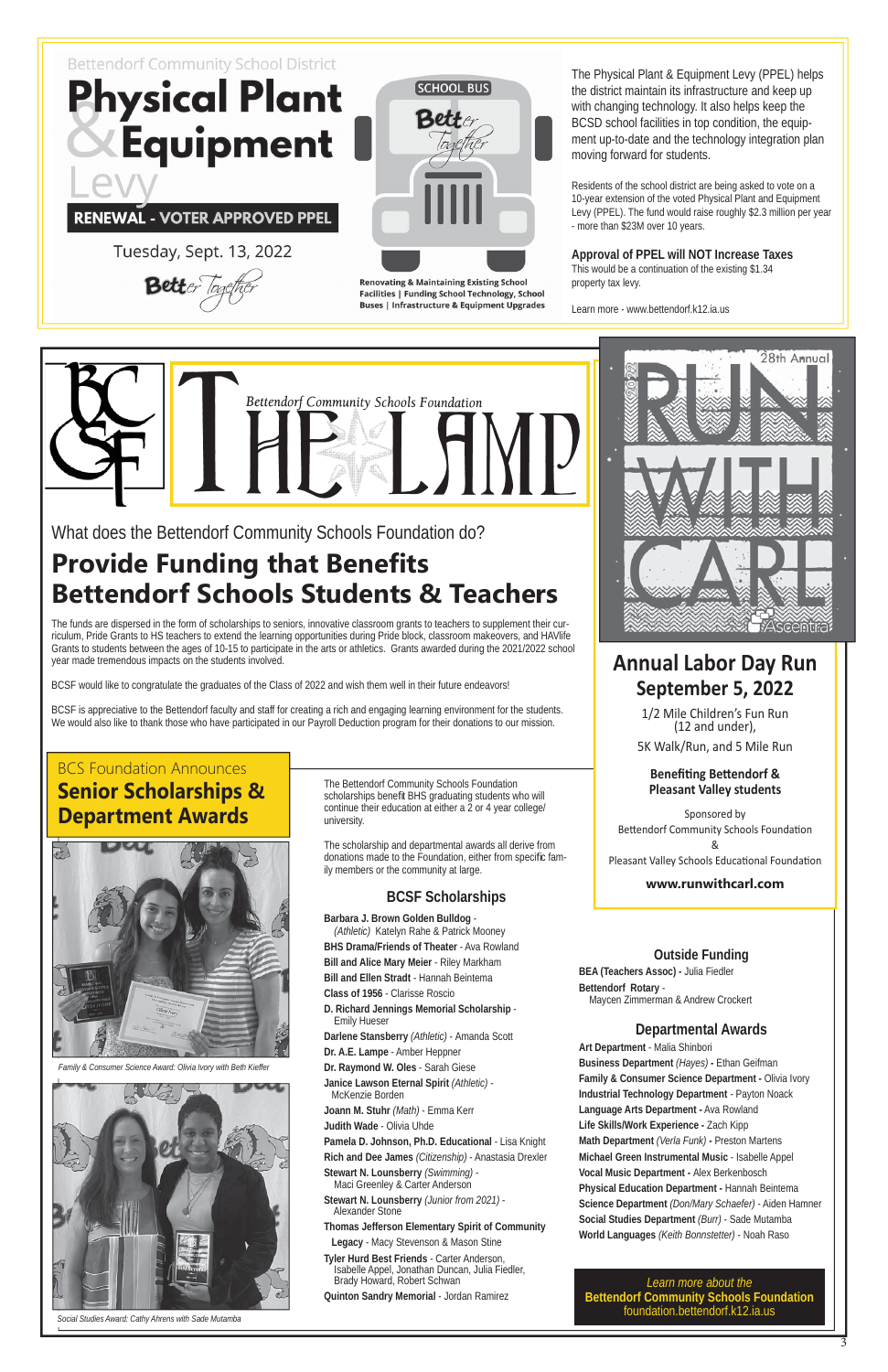

RENEWAL - VOTER APPROVED PPEL

Tuesday, Sept. 13, 2022

Better Tog



**Renovating & Maintaining Existing School Facilities | Funding School Technology, School Buses | Infrastructure & Equipment Upgrades** 

The Bettendorf Community Schools Foundation scholarships benefit BHS graduating students who will continue their education at either a 2 or 4 year college/ university.

The scholarship and departmental awards all derive from donations made to the Foundation, either from specific family members or the community at large.

#### **BCSF Scholarships**

**Barbara J. Brown Golden Bulldog** - *(Athletic)* Katelyn Rahe & Patrick Mooney **BHS Drama/Friends of Theater** - Ava Rowland **Bill and Alice Mary Meier** - Riley Markham **Bill and Ellen Stradt** - Hannah Beintema **Class of 1956** - Clarisse Roscio **D. Richard Jennings Memorial Scholarship**  Emily Hueser **Darlene Stansberry** *(Athletic)* - Amanda Scott **Dr. A.E. Lampe** - Amber Heppner **Dr. Raymond W. Oles** - Sarah Giese **Janice Lawson Eternal Spirit** *(Athletic)* - McKenzie Borden **Joann M. Stuhr** *(Math)* - Emma Kerr **Judith Wade** - Olivia Uhde **Pamela D. Johnson, Ph.D. Educational** - Lisa Knight **Rich and Dee James** *(Citizenship)* - Anastasia Drexler **Stewart N. Lounsberry** *(Swimming)* - Maci Greenley & Carter Anderson **Stewart N. Lounsberry** *(Junior from 2021)* - Alexander Stone **Thomas Jefferson Elementary Spirit of Community** 



## **Provide Funding that Benefits Bettendorf Schools Students & Teachers**

 **Legacy** - Macy Stevenson & Mason Stine **Tyler Hurd Best Friends** - Carter Anderson, Isabelle Appel, Jonathan Duncan, Julia Fiedler, Brady Howard, Robert Schwan

**Quinton Sandry Memorial** - Jordan Ramirez

#### **Outside Funding**

**BEA (Teachers Assoc) -** Julia Fiedler **Bettendorf Rotary** - Maycen Zimmerman & Andrew Crockert

#### **Departmental Awards**

#### **Benefiting Bettendorf & Pleasant Valley students**

**Art Department** - Malia Shinbori **Business Department** *(Hayes)* **-** Ethan Geifman **Family & Consumer Science Department - Olivia Ivory Industrial Technology Department** - Payton Noack **Language Arts Department -** Ava Rowland **Life Skills/Work Experience -** Zach Kipp **Math Department** *(Verla Funk)* **-** Preston Martens **Michael Green Instrumental Music** - Isabelle Appel **Vocal Music Department -** Alex Berkenbosch **Physical Education Department -** Hannah Beintema **Science Department** *(Don/Mary Schaefer)* - Aiden Hamner **Social Studies Department** *(Burr)* - Sade Mutamba **World Languages** *(Keith Bonnstetter)* - Noah Raso

## BCS Foundation Announces **Senior Scholarships & Department Awards**



What does the Bettendorf Community Schools Foundation do?

The funds are dispersed in the form of scholarships to seniors, innovative classroom grants to teachers to supplement their curriculum, Pride Grants to HS teachers to extend the learning opportunities during Pride block, classroom makeovers, and HAVlife Grants to students between the ages of 10-15 to participate in the arts or athletics. Grants awarded during the 2021/2022 school year made tremendous impacts on the students involved.

BCSF would like to congratulate the graduates of the Class of 2022 and wish them well in their future endeavors!

BCSF is appreciative to the Bettendorf faculty and staff for creating a rich and engaging learning environment for the students. We would also like to thank those who have participated in our Payroll Deduction program for their donations to our mission.

## **Annual Labor Day Run September 5, 2022**

1/2 Mile Children's Fun Run (12 and under),

5K Walk/Run, and 5 Mile Run

Sponsored by Bettendorf Community Schools Foundation &

Pleasant Valley Schools Educational Foundation

#### **www.runwithcarl.com**

*Learn more about the*  **Bettendorf Community Schools Foundation** foundation.bettendorf.k12.ia.us

 $\overline{3}$ 

The Physical Plant & Equipment Levy (PPEL) helps the district maintain its infrastructure and keep up with changing technology. It also helps keep the BCSD school facilities in top condition, the equipment up-to-date and the technology integration plan moving forward for students.

Residents of the school district are being asked to vote on a 10-year extension of the voted Physical Plant and Equipment Levy (PPEL). The fund would raise roughly \$2.3 million per year - more than \$23M over 10 years.

**Approval of PPEL will NOT Increase Taxes** This would be a continuation of the existing \$1.34 property tax levy.

Learn more - www.bettendorf.k12.ia.us



*Family & Consumer Science Award: Olivia Ivory with Beth Kieffer*



*Social Studies Award: Cathy Ahrens with Sade Mutamba*